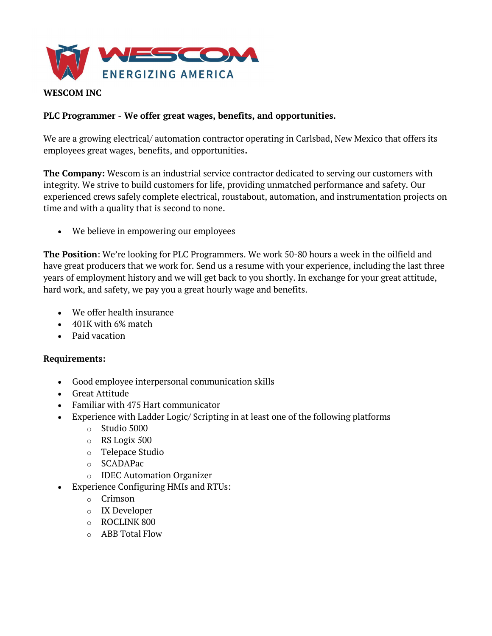

## WESCOM INC

### PLC Programmer - We offer great wages, benefits, and opportunities.

We are a growing electrical/ automation contractor operating in Carlsbad, New Mexico that offers its employees great wages, benefits, and opportunities.

The Company: Wescom is an industrial service contractor dedicated to serving our customers with integrity. We strive to build customers for life, providing unmatched performance and safety. Our experienced crews safely complete electrical, roustabout, automation, and instrumentation projects on time and with a quality that is second to none.

We believe in empowering our employees

The Position: We're looking for PLC Programmers. We work 50-80 hours a week in the oilfield and have great producers that we work for. Send us a resume with your experience, including the last three years of employment history and we will get back to you shortly. In exchange for your great attitude, hard work, and safety, we pay you a great hourly wage and benefits.

- We offer health insurance
- 401K with 6% match
- Paid vacation

#### Requirements:

- Good employee interpersonal communication skills
- Great Attitude
- Familiar with 475 Hart communicator
- Experience with Ladder Logic/ Scripting in at least one of the following platforms
	- o Studio 5000
	- o RS Logix 500
	- o Telepace Studio
	- o SCADAPac
	- o IDEC Automation Organizer
- Experience Configuring HMIs and RTUs:
	- o Crimson
	- o IX Developer
	- o ROCLINK 800
	- o ABB Total Flow